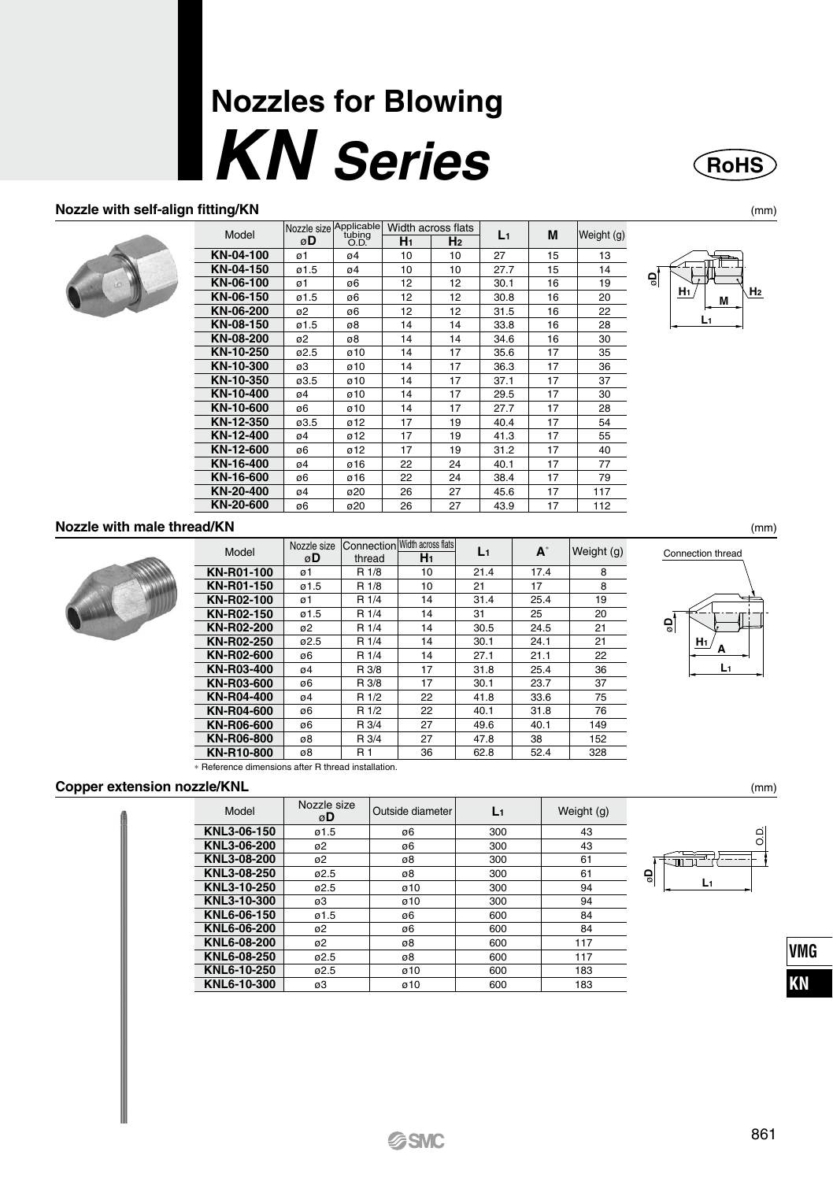# **Nozzles for Blowing KN** Series

### Nozzle with self-align fitting/KN



|           | Nozzle size    | Applicable     |    | Width across flats |       |    |            |
|-----------|----------------|----------------|----|--------------------|-------|----|------------|
| Model     | øD             | tubing<br>O.D. | H1 | H <sub>2</sub>     | $L_1$ | M  | Weight (g) |
| KN-04-100 | ø1             | 04             | 10 | 10                 | 27    | 15 | 13         |
| KN-04-150 | ø1.5           | 04             | 10 | 10                 | 27.7  | 15 | 14         |
| KN-06-100 | ø1             | ø6             | 12 | 12                 | 30.1  | 16 | 19         |
| KN-06-150 | ø1.5           | ø6             | 12 | 12                 | 30.8  | 16 | 20         |
| KN-06-200 | 0 <sup>2</sup> | ø6             | 12 | 12                 | 31.5  | 16 | 22         |
| KN-08-150 | 01.5           | ø8             | 14 | 14                 | 33.8  | 16 | 28         |
| KN-08-200 | ø2             | ø8             | 14 | 14                 | 34.6  | 16 | 30         |
| KN-10-250 | 02.5           | ø10            | 14 | 17                 | 35.6  | 17 | 35         |
| KN-10-300 | ø3             | ø10            | 14 | 17                 | 36.3  | 17 | 36         |
| KN-10-350 | ø3.5           | ø10            | 14 | 17                 | 37.1  | 17 | 37         |
| KN-10-400 | 04             | ø10            | 14 | 17                 | 29.5  | 17 | 30         |
| KN-10-600 | ø6             | ø10            | 14 | 17                 | 27.7  | 17 | 28         |
| KN-12-350 | 03.5           | ø12            | 17 | 19                 | 40.4  | 17 | 54         |
| KN-12-400 | 04             | ø12            | 17 | 19                 | 41.3  | 17 | 55         |
| KN-12-600 | ø6             | ø12            | 17 | 19                 | 31.2  | 17 | 40         |
| KN-16-400 | 04             | ø16            | 22 | 24                 | 40.1  | 17 | 77         |
| KN-16-600 | ø6             | ø16            | 22 | 24                 | 38.4  | 17 | 79         |
| KN-20-400 | 04             | ø20            | 26 | 27                 | 45.6  | 17 | 117        |
| KN-20-600 | ø6             | ø20            | 26 | 27                 | 43.9  | 17 | 112        |



**RoHS** 

 $(mm)$ 

 $(mm)$ 





| Model                                                | Nozzle size<br>øD | Connection<br>thread | Width across flats<br>H <sub>1</sub> | $L_1$ | A    | Weight (g) |
|------------------------------------------------------|-------------------|----------------------|--------------------------------------|-------|------|------------|
| KN-R01-100                                           | ø1                | R 1/8                | 10                                   | 21.4  | 17.4 | 8          |
| KN-R01-150                                           | ø1.5              | R 1/8                | 10                                   | 21    | 17   | 8          |
| KN-R02-100                                           | ø1                | R 1/4                | 14                                   | 31.4  | 25.4 | 19         |
| KN-R02-150                                           | ø1.5              | R 1/4                | 14                                   | 31    | 25   | 20         |
| KN-R02-200                                           | ø2                | R 1/4                | 14                                   | 30.5  | 24.5 | 21         |
| KN-R02-250                                           | ø2.5              | R 1/4                | 14                                   | 30.1  | 24.1 | 21         |
| KN-R02-600                                           | ø6                | R 1/4                | 14                                   | 27.1  | 21.1 | 22         |
| KN-R03-400                                           | ø4                | R 3/8                | 17                                   | 31.8  | 25.4 | 36         |
| KN-R03-600                                           | ø6                | R 3/8                | 17                                   | 30.1  | 23.7 | 37         |
| KN-R04-400                                           | ø4                | R 1/2                | 22                                   | 41.8  | 33.6 | 75         |
| KN-R04-600                                           | ø6                | R 1/2                | 22                                   | 40.1  | 31.8 | 76         |
| KN-R06-600                                           | ø6                | R 3/4                | 27                                   | 49.6  | 40.1 | 149        |
| KN-R06-800                                           | ø8                | R 3/4                | 27                                   | 47.8  | 38   | 152        |
| KN-R10-800                                           | ø8                | <b>R1</b>            | 36                                   | 62.8  | 52.4 | 328        |
| . Deference dimensione efter D. thread installation. |                   |                      |                                      |       |      |            |



#### Copper extension nozzle/KNL

| Model       | Nozzle size<br>øD | Outside diameter | L1  | Weight (g) |
|-------------|-------------------|------------------|-----|------------|
| KNL3-06-150 | ø1.5              | ø6               | 300 | 43         |
| KNL3-06-200 | ø2                | ø6               | 300 | 43         |
| KNL3-08-200 | ø2                | ø8               | 300 | 61         |
| KNL3-08-250 | 02.5              | 08               | 300 | 61         |
| KNL3-10-250 | 02.5              | ø10              | 300 | 94         |
| KNL3-10-300 | ø3                | ø10              | 300 | 94         |
| KNL6-06-150 | ø1.5              | ø6               | 600 | 84         |
| KNL6-06-200 | ø2                | ø6               | 600 | 84         |
| KNL6-08-200 | ø2                | ø8               | 600 | 117        |
| KNL6-08-250 | ø2.5              | ø8               | 600 | 117        |
| KNL6-10-250 | 02.5              | ø10              | 600 | 183        |
| KNL6-10-300 | ø3                | ø10              | 600 | 183        |



**VMG** KN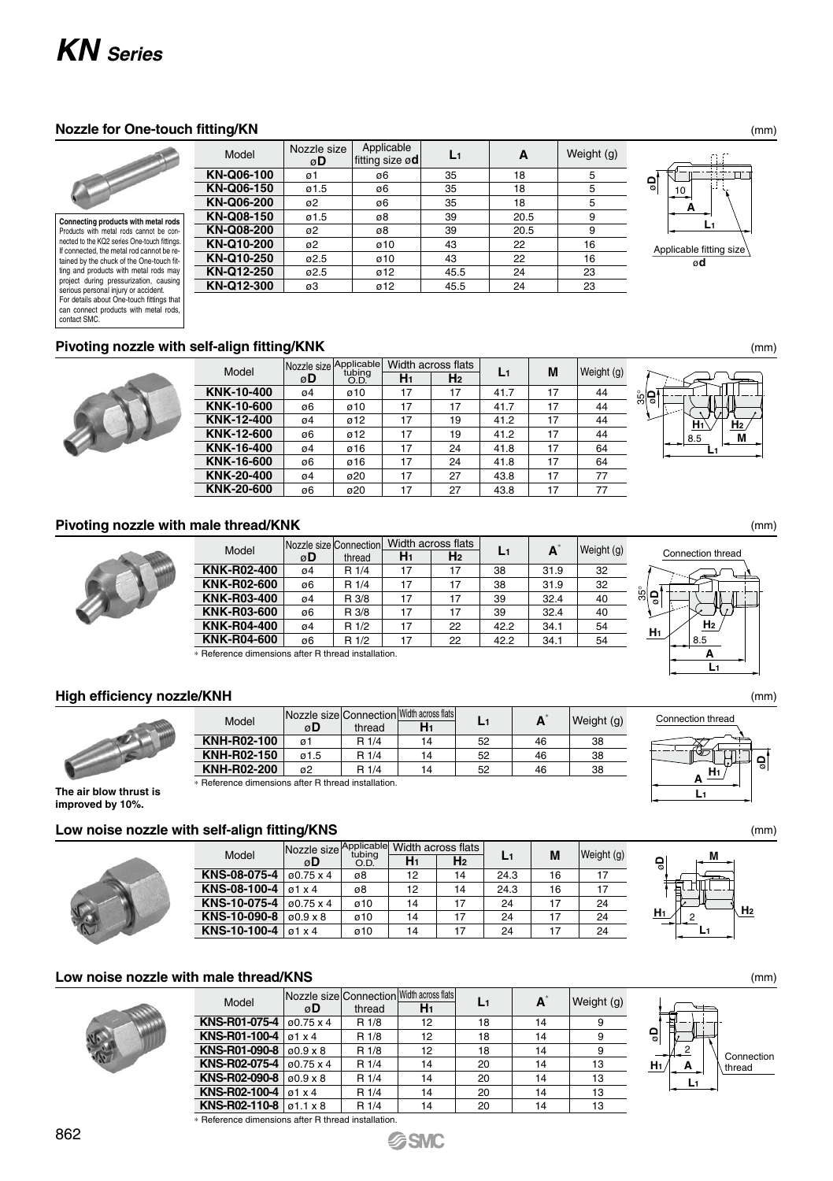## *KN Series*

#### **Nozzle for One-touch fitting/KN** (mm)

**Connecting products with metal rods** Products with metal rods cannot be con-nected to the KQ2 series One-touch fittings. If connected, the metal rod cannot be re-tained by the chuck of the One-touch fitting and products with metal rods may project during pressurization, causing serious personal injury or accident. For details about One-touch fittings that can connect products with metal rods, contact SMC.

| Model      | Nozzle size<br>øD | Applicable<br>fitting size ød | L1   | А    | Weight (g) |
|------------|-------------------|-------------------------------|------|------|------------|
| KN-Q06-100 | ø1                | ø6                            | 35   | 18   | 5          |
| KN-Q06-150 | ø1.5              | ø6                            | 35   | 18   | 5          |
| KN-Q06-200 | ø2                | ø6                            | 35   | 18   | 5          |
| KN-Q08-150 | 01.5              | ø8                            | 39   | 20.5 | 9          |
| KN-Q08-200 | ø2                | ø8                            | 39   | 20.5 | 9          |
| KN-Q10-200 | ø2                | ø10                           | 43   | 22   | 16         |
| KN-Q10-250 | 02.5              | ø10                           | 43   | 22   | 16         |
| KN-Q12-250 | 02.5              | ø12                           | 45.5 | 24   | 23         |
| KN-Q12-300 | ø3                | ø12                           | 45.5 | 24   | 23         |
|            |                   |                               |      |      |            |

ø**D L1 A**  $\overline{10}$ Applicable fitting size ø**d**

#### **Pivoting nozzle with self-align fitting/KNK** (mm)



| Model      |    | Nozzle size Applicable<br>tubina |                | Width across flats | L1   | M  | Weight (g) |
|------------|----|----------------------------------|----------------|--------------------|------|----|------------|
|            | øD | O.D.                             | H <sub>1</sub> | H <sub>2</sub>     |      |    |            |
| KNK-10-400 | 04 | ø10                              | 17             | 17                 | 41.7 | 17 | 44         |
| KNK-10-600 | ø6 | ø10                              | 17             | 17                 | 41.7 | 17 | 44         |
| KNK-12-400 | 04 | ø12                              | 17             | 19                 | 41.2 | 17 | 44         |
| KNK-12-600 | ø6 | ø12                              | 17             | 19                 | 41.2 | 17 | 44         |
| KNK-16-400 | 04 | ø16                              | 17             | 24                 | 41.8 | 17 | 64         |
| KNK-16-600 | ø6 | ø16                              | 17             | 24                 | 41.8 | 17 | 64         |
| KNK-20-400 | 04 | ø20                              | 17             | 27                 | 43.8 | 17 | 77         |
| KNK-20-600 | ø6 | ø20                              | 17             | 27                 | 43.8 | 17 | 77         |

#### **Pivoting nozzle with male thread/KNK**



| Model              |    | Nozzle size Connection |                | Width across flats |      | A    | Weight (g) |
|--------------------|----|------------------------|----------------|--------------------|------|------|------------|
|                    | øD | thread                 | H <sub>1</sub> | H <sub>2</sub>     | L1   |      |            |
| KNK-R02-400        | 04 | R 1/4                  | 17             | 17                 | 38   | 31.9 | 32         |
| KNK-R02-600        | ø6 | R 1/4                  | 17             | 17                 | 38   | 31.9 | 32         |
| KNK-R03-400        | 04 | R 3/8                  | 17             | 17                 | 39   | 32.4 | 40         |
| KNK-R03-600        | ø6 | R 3/8                  | 17             | 17                 | 39   | 32.4 | 40         |
| <b>KNK-R04-400</b> | 04 | R 1/2                  | 17             | 22                 | 42.2 | 34.1 | 54         |
| <b>KNK-R04-600</b> | ø6 | R 1/2                  | 17             | 22                 | 42.2 | 34.1 | 54         |
|                    |    |                        |                |                    |      |      |            |

onnection **Width across flats L1 A** thread **H1**

52 52 52

46 46 46 38 38 38

Weight (g)

 $14$ 

∗ Reference dimensions after R thread installation.

Model Nozzle size ø**D**

**KNH-R02-100**

#### **High efficiency nozzle/KNH**



**KNH-R02-150 KNH-R02-200**  $\overline{a1}$ ø1.5 ø2 R 1/4 R 1/4 14 14 ∗ Reference dimensions after R thread installation.

**The air blow thrust is improved by 10%.**

#### **Low noise nozzle with self-align fitting/KNS**



| Model                              | Nozzle size Applicable Width across flats | tubina |                |                |      |    | Weight (g) |
|------------------------------------|-------------------------------------------|--------|----------------|----------------|------|----|------------|
|                                    | øD                                        | O.D.   | H <sub>1</sub> | H <sub>2</sub> | L1   | M  |            |
| KNS-08-075-4                       | ø0.75 x 4                                 | ø8     | 12             | 14             | 24.3 | 16 | 17         |
| <b>KNS-08-100-4</b> $\sigma$ 1 x 4 |                                           | ø8     | 12             | 14             | 24.3 | 16 | 17         |
| KNS-10-075-4                       | $0.75 \times 4$                           | ø10    | 14             | 17             | 24   | 17 | 24         |
| KNS-10-090-8                       | $0.9 \times 8$                            | ø10    | 14             | 17             | 24   | 17 | 24         |
| KNS-10-100-4                       | $\sqrt{91 \times 4}$                      | ø10    | 14             | 17             | 24   | 17 | 24         |
|                                    |                                           |        |                |                |      |    |            |

#### **Low noise nozzle with male thread/KNS**



| Model                                               | <b>INozzle size Connection Moth across flats</b> |        |                |    | A  | Weight (g) |
|-----------------------------------------------------|--------------------------------------------------|--------|----------------|----|----|------------|
|                                                     | øD                                               | thread | H <sub>1</sub> | L1 |    |            |
| KNS-R01-075-4                                       | $60.75 \times 4$                                 | R 1/8  | 12             | 18 | 14 | 9          |
| <b>KNS-R01-100-4</b> $\sigma$ 1 x 4                 |                                                  | R 1/8  | 12             | 18 | 14 | 9          |
| <b>KNS-R01-090-8</b> $0.9 \times 8$                 |                                                  | R 1/8  | 12             | 18 | 14 | 9          |
| <b>KNS-R02-075-4</b> $\sigma$ 0.75 x 4              |                                                  | R 1/4  | 14             | 20 | 14 | 13         |
| <b>KNS-R02-090-8</b> $0.9 \times 8$                 |                                                  | R 1/4  | 14             | 20 | 14 | 13         |
| <b>KNS-R02-100-4</b> $\sigma$ 1 x 4                 |                                                  | R 1/4  | 14             | 20 | 14 | 13         |
| <b>KNS-R02-110-8</b> $\sigma$ 1.1 x 8               |                                                  | R 1/4  | 14             | 20 | 14 | 13         |
| * Reference dimensions after R thread installation. |                                                  |        |                |    |    |            |

**SSMC** 

Connection

**Connection** 

 $R$  1/4





35°



(mm)

(mm)





(mm)

(mm)